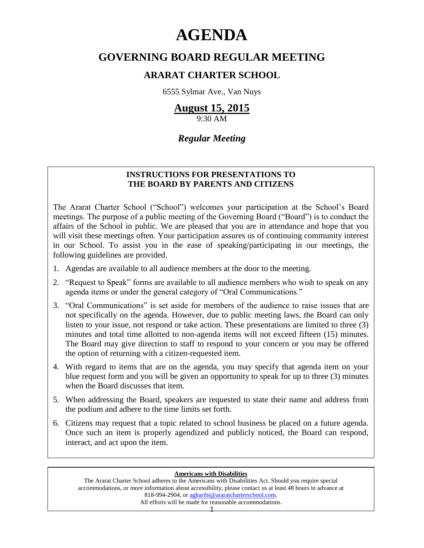# **AGENDA**

# **GOVERNING BOARD REGULAR MEETING**

# **ARARAT CHARTER SCHOOL**

6555 Sylmar Ave., Van Nuys

# **August 15, 2015**

9:30 AM

# *Regular Meeting*

# **INSTRUCTIONS FOR PRESENTATIONS TO THE BOARD BY PARENTS AND CITIZENS**

The Ararat Charter School ("School") welcomes your participation at the School's Board meetings. The purpose of a public meeting of the Governing Board ("Board") is to conduct the affairs of the School in public. We are pleased that you are in attendance and hope that you will visit these meetings often. Your participation assures us of continuing community interest in our School. To assist you in the ease of speaking/participating in our meetings, the following guidelines are provided.

- 1. Agendas are available to all audience members at the door to the meeting.
- 2. "Request to Speak" forms are available to all audience members who wish to speak on any agenda items or under the general category of "Oral Communications."
- 3. "Oral Communications" is set aside for members of the audience to raise issues that are not specifically on the agenda. However, due to public meeting laws, the Board can only listen to your issue, not respond or take action. These presentations are limited to three (3) minutes and total time allotted to non-agenda items will not exceed fifteen (15) minutes. The Board may give direction to staff to respond to your concern or you may be offered the option of returning with a citizen-requested item.
- 4. With regard to items that are on the agenda, you may specify that agenda item on your blue request form and you will be given an opportunity to speak for up to three (3) minutes when the Board discusses that item.
- 5. When addressing the Board, speakers are requested to state their name and address from the podium and adhere to the time limits set forth.
- 6. Citizens may request that a topic related to school business be placed on a future agenda. Once such an item is properly agendized and publicly noticed, the Board can respond, interact, and act upon the item.

#### **Americans with Disabilities**

The Ararat Charter School adheres to the Americans with Disabilities Act. Should you require special accommodations, or more information about accessibility, please contact us at least 48 hours in advance at 818-994-2904, or [agharibi@araratcharterschool.com.](mailto:agharibi@araratcharterschool.com)  All efforts will be made for reasonable accommodations.

1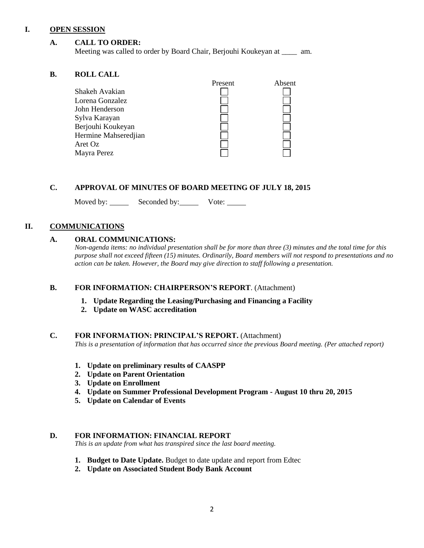#### **I. OPEN SESSION**

# **A. CALL TO ORDER:**

Meeting was called to order by Board Chair, Berjouhi Koukeyan at \_\_\_\_ am.

# **B. ROLL CALL**

| Absent  |
|---------|
|         |
|         |
|         |
|         |
|         |
|         |
|         |
|         |
| Present |

# **C. APPROVAL OF MINUTES OF BOARD MEETING OF JULY 18, 2015**

Moved by: Seconded by: Vote:

# **II. COMMUNICATIONS**

# **A. ORAL COMMUNICATIONS:**

*Non-agenda items: no individual presentation shall be for more than three (3) minutes and the total time for this purpose shall not exceed fifteen (15) minutes. Ordinarily, Board members will not respond to presentations and no action can be taken. However, the Board may give direction to staff following a presentation.*

# **B. FOR INFORMATION: CHAIRPERSON'S REPORT**. (Attachment)

- **1. Update Regarding the Leasing/Purchasing and Financing a Facility**
- **2. Update on WASC accreditation**

# **C. FOR INFORMATION: PRINCIPAL'S REPORT.** (Attachment)

*This is a presentation of information that has occurred since the previous Board meeting. (Per attached report)*

- **1. Update on preliminary results of CAASPP**
- **2. Update on Parent Orientation**
- **3. Update on Enrollment**
- **4. Update on Summer Professional Development Program - August 10 thru 20, 2015**
- **5. Update on Calendar of Events**

## **D. FOR INFORMATION: FINANCIAL REPORT**

*This is an update from what has transpired since the last board meeting.*

- **1. Budget to Date Update.** Budget to date update and report from Edtec
- **2. Update on Associated Student Body Bank Account**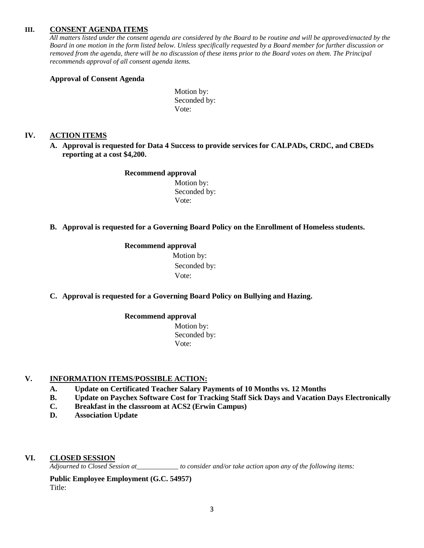#### **III. CONSENT AGENDA ITEMS**

*All matters listed under the consent agenda are considered by the Board to be routine and will be approved/enacted by the Board in one motion in the form listed below. Unless specifically requested by a Board member for further discussion or removed from the agenda, there will be no discussion of these items prior to the Board votes on them. The Principal recommends approval of all consent agenda items.*

#### **Approval of Consent Agenda**

Motion by: Seconded by: Vote:

#### **IV. ACTION ITEMS**

**A. Approval is requested for Data 4 Success to provide services for CALPADs, CRDC, and CBEDs reporting at a cost \$4,200.**

#### **Recommend approval**

 Motion by: Seconded by: Vote:

#### **B. Approval is requested for a Governing Board Policy on the Enrollment of Homeless students.**

#### **Recommend approval**

 Motion by: Seconded by: Vote:

#### **C. Approval is requested for a Governing Board Policy on Bullying and Hazing.**

#### **Recommend approval**

 Motion by: Seconded by: Vote:

#### **V. INFORMATION ITEMS**/**POSSIBLE ACTION:**

- **A. Update on Certificated Teacher Salary Payments of 10 Months vs. 12 Months**
- **B. Update on Paychex Software Cost for Tracking Staff Sick Days and Vacation Days Electronically**
- **C. Breakfast in the classroom at ACS2 (Erwin Campus)**
- **D. Association Update**

#### **VI. CLOSED SESSION**

*Adjourned to Closed Session at\_\_\_\_\_\_\_\_\_\_\_\_ to consider and/or take action upon any of the following items:*

**Public Employee Employment (G.C. 54957)** Title: